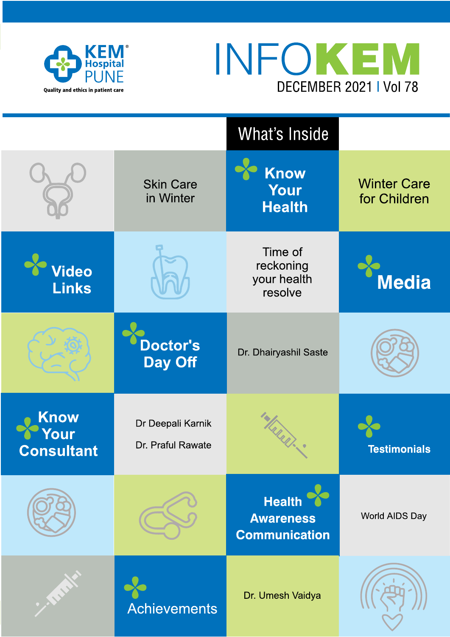



|                                  |                                        | What's Inside                                             |                                    |
|----------------------------------|----------------------------------------|-----------------------------------------------------------|------------------------------------|
|                                  | <b>Skin Care</b><br>in Winter          | <b>Know</b><br>Your<br><b>Health</b>                      | <b>Winter Care</b><br>for Children |
| Video<br><b>Links</b>            |                                        | Time of<br>reckoning<br>your health<br>resolve            | <b>Media</b>                       |
|                                  | <b>Doctor's</b><br><b>Day Off</b>      | Dr. Dhairyashil Saste                                     |                                    |
| Know<br>our<br><b>Consultant</b> | Dr Deepali Karnik<br>Dr. Praful Rawate | MARRI                                                     | <b>Testimonials</b>                |
|                                  |                                        | <b>Health</b><br><b>Awareness</b><br><b>Communication</b> | World AIDS Day                     |
|                                  | <b>Achievements</b>                    | Dr. Umesh Vaidya                                          |                                    |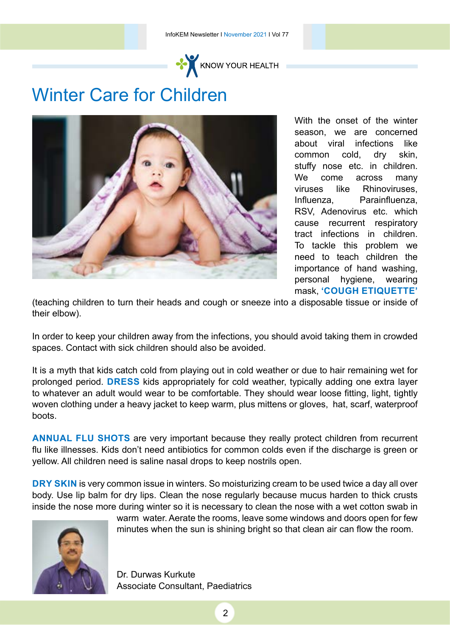

## Winter Care for Children



With the onset of the winter season, we are concerned about viral infections like common cold, dry skin, stuffy nose etc. in children. We come across many viruses like Rhinoviruses, Influenza, Parainfluenza, RSV, Adenovirus etc. which cause recurrent respiratory tract infections in children. To tackle this problem we need to teach children the importance of hand washing, personal hygiene, wearing mask, **'Cough Etiquette'** 

(teaching children to turn their heads and cough or sneeze into a disposable tissue or inside of their elbow).

In order to keep your children away from the infections, you should avoid taking them in crowded spaces. Contact with sick children should also be avoided.

It is a myth that kids catch cold from playing out in cold weather or due to hair remaining wet for prolonged period. **DRESS** kids appropriately for cold weather, typically adding one extra layer to whatever an adult would wear to be comfortable. They should wear loose fitting, light, tightly woven clothing under a heavy jacket to keep warm, plus mittens or gloves, hat, scarf, waterproof boots.

**ANNUAL FLU SHOTS** are very important because they really protect children from recurrent flu like illnesses. Kids don't need antibiotics for common colds even if the discharge is green or yellow. All children need is saline nasal drops to keep nostrils open.

**DRY SKIN** is very common issue in winters. So moisturizing cream to be used twice a day all over body. Use lip balm for dry lips. Clean the nose regularly because mucus harden to thick crusts inside the nose more during winter so it is necessary to clean the nose with a wet cotton swab in



warm water. Aerate the rooms, leave some windows and doors open for few minutes when the sun is shining bright so that clean air can flow the room.

Dr. Durwas Kurkute Associate Consultant, Paediatrics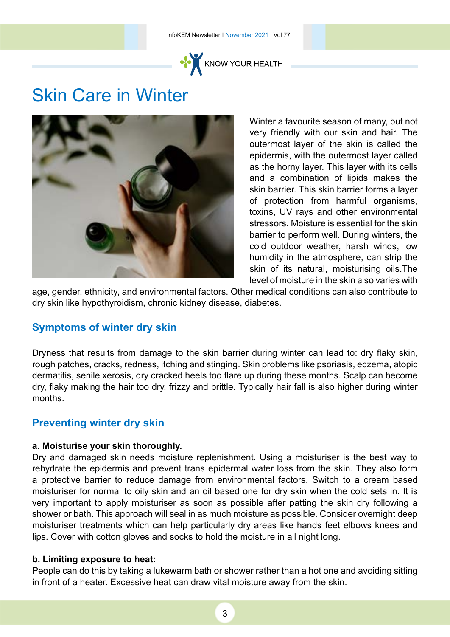

### Skin Care in Winter



Winter a favourite season of many, but not very friendly with our skin and hair. The outermost layer of the skin is called the epidermis, with the outermost layer called as the horny layer. This layer with its cells and a combination of lipids makes the skin barrier. This skin barrier forms a layer of protection from harmful organisms, toxins, UV rays and other environmental stressors. Moisture is essential for the skin barrier to perform well. During winters, the cold outdoor weather, harsh winds, low humidity in the atmosphere, can strip the skin of its natural, moisturising <oils.The> level of moisture in the skin also varies with

age, gender, ethnicity, and environmental factors. Other medical conditions can also contribute to dry skin like hypothyroidism, chronic kidney disease, diabetes.

#### **Symptoms of winter dry skin**

Dryness that results from damage to the skin barrier during winter can lead to: dry flaky skin, rough patches, cracks, redness, itching and stinging. Skin problems like psoriasis, eczema, atopic dermatitis, senile xerosis, dry cracked heels too flare up during these months. Scalp can become dry, flaky making the hair too dry, frizzy and brittle. Typically hair fall is also higher during winter months.

#### **Preventing winter dry skin**

#### **a. Moisturise your skin thoroughly.**

Dry and damaged skin needs moisture replenishment. Using a moisturiser is the best way to rehydrate the epidermis and prevent trans epidermal water loss from the skin. They also form a protective barrier to reduce damage from environmental factors. Switch to a cream based moisturiser for normal to oily skin and an oil based one for dry skin when the cold sets in. It is very important to apply moisturiser as soon as possible after patting the skin dry following a shower or bath. This approach will seal in as much moisture as possible. Consider overnight deep moisturiser treatments which can help particularly dry areas like hands feet elbows knees and lips. Cover with cotton gloves and socks to hold the moisture in all night long.

#### **b. Limiting exposure to heat:**

People can do this by taking a lukewarm bath or shower rather than a hot one and avoiding sitting in front of a heater. Excessive heat can draw vital moisture away from the skin.

3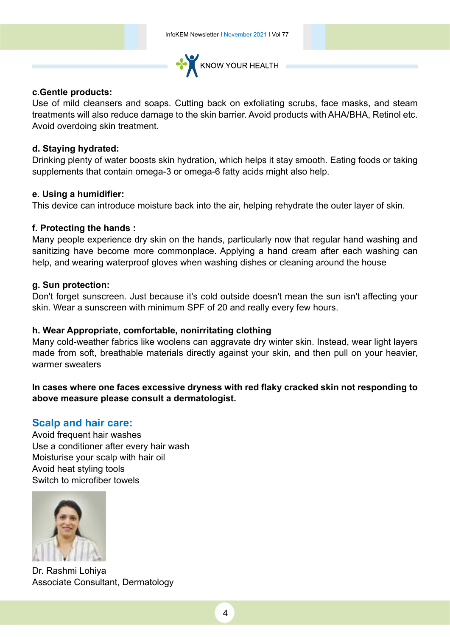

#### **<c.Gentle>products:**

Use of mild cleansers and soaps. Cutting back on exfoliating scrubs, face masks, and steam treatments will also reduce damage to the skin barrier. Avoid products with AHA/BHA, Retinol etc. Avoid overdoing skin treatment.

#### **d. Staying hydrated:**

Drinking plenty of water boosts skin hydration, which helps it stay smooth. Eating foods or taking supplements that contain omega-3 or omega-6 fatty acids might also help.

#### **e. Using a humidifier:**

This device can introduce moisture back into the air, helping rehydrate the outer layer of skin.

#### **f. Protecting the hands :**

Many people experience dry skin on the hands, particularly now that regular hand washing and sanitizing have become more commonplace. Applying a hand cream after each washing can help, and wearing waterproof gloves when washing dishes or cleaning around the house

#### **g. Sun protection:**

Don't forget sunscreen. Just because it's cold outside doesn't mean the sun isn't affecting your skin. Wear a sunscreen with minimum SPF of 20 and really every few hours.

#### **h. Wear Appropriate, comfortable, nonirritating clothing**

Many cold-weather fabrics like woolens can aggravate dry winter skin. Instead, wear light layers made from soft, breathable materials directly against your skin, and then pull on your heavier, warmer sweaters

#### **In cases where one faces excessive dryness with red flaky cracked skin not responding to above measure please consult a dermatologist.**

#### **Scalp and hair care:**

Avoid frequent hair washes Use a conditioner after every hair wash Moisturise your scalp with hair oil Avoid heat styling tools Switch to microfiber towels



Dr. Rashmi Lohiya Associate Consultant, Dermatology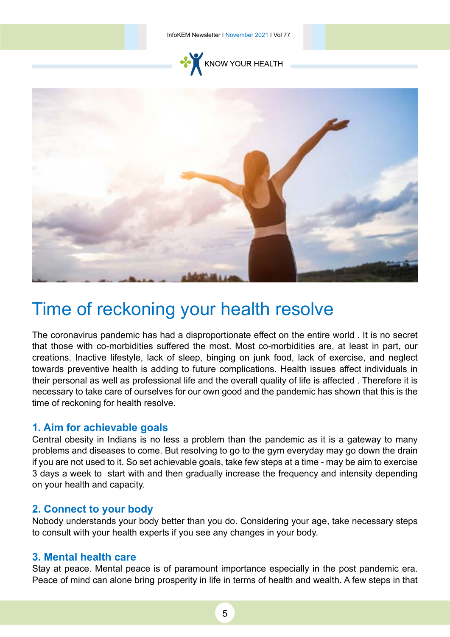InfoKEM Newsletter I November 2021 I Vol 77





## Time of reckoning your health resolve

The coronavirus pandemic has had a disproportionate effect on the entire world . It is no secret that those with co-morbidities suffered the most. Most co-morbidities are, at least in part, our creations. Inactive lifestyle, lack of sleep, binging on junk food, lack of exercise, and neglect towards preventive health is adding to future complications. Health issues affect individuals in their personal as well as professional life and the overall quality of life is affected . Therefore it is necessary to take care of ourselves for our own good and the pandemic has shown that this is the time of reckoning for health resolve.

#### **1. Aim for achievable goals**

Central obesity in Indians is no less a problem than the pandemic as it is a gateway to many problems and diseases to come. But resolving to go to the gym everyday may go down the drain if you are not used to it. So set achievable goals, take few steps at a time - may be aim to exercise 3 days a week to start with and then gradually increase the frequency and intensity depending on your health and capacity.

#### **2. Connect to your body**

Nobody understands your body better than you do. Considering your age, take necessary steps to consult with your health experts if you see any changes in your body.

#### **3. Mental health care**

Stay at peace. Mental peace is of paramount importance especially in the post pandemic era. Peace of mind can alone bring prosperity in life in terms of health and wealth. A few steps in that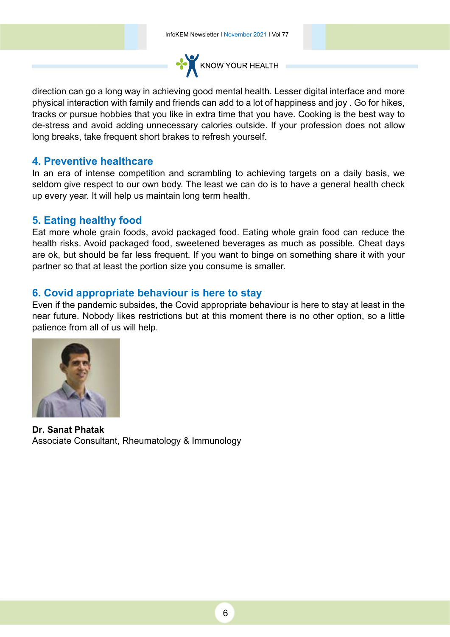

direction can go a long way in achieving good mental health. Lesser digital interface and more physical interaction with family and friends can add to a lot of happiness and joy . Go for hikes, tracks or pursue hobbies that you like in extra time that you have. Cooking is the best way to de-stress and avoid adding unnecessary calories outside. If your profession does not allow long breaks, take frequent short brakes to refresh yourself.

#### **4. Preventive healthcare**

In an era of intense competition and scrambling to achieving targets on a daily basis, we seldom give respect to our own body. The least we can do is to have a general health check up every year. It will help us maintain long term health.

#### **5. Eating healthy food**

Eat more whole grain foods, avoid packaged food. Eating whole grain food can reduce the health risks. Avoid packaged food, sweetened beverages as much as possible. Cheat days are ok, but should be far less frequent. If you want to binge on something share it with your partner so that at least the portion size you consume is smaller.

#### **6. Covid appropriate behaviour is here to stay**

Even if the pandemic subsides, the Covid appropriate behaviour is here to stay at least in the near future. Nobody likes restrictions but at this moment there is no other option, so a little patience from all of us will help.



**Dr. Sanat Phatak** Associate Consultant, Rheumatology & Immunology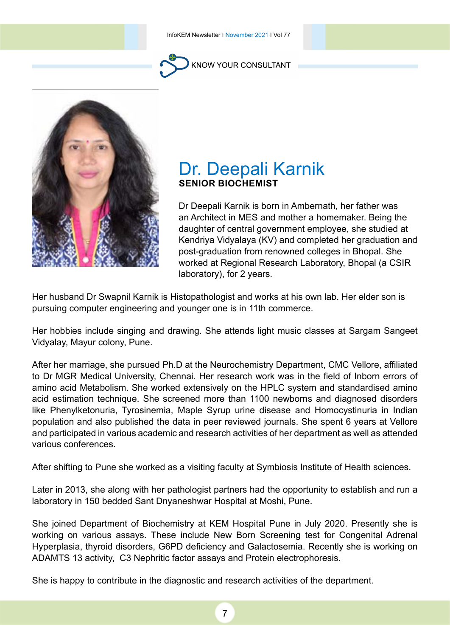



### Dr. Deepali Karnik **Senior Biochemist**

Dr Deepali Karnik is born in Ambernath, her father was an Architect in MES and mother a homemaker. Being the daughter of central government employee, she studied at Kendriya Vidyalaya (KV) and completed her graduation and post-graduation from renowned colleges in Bhopal. She worked at Regional Research Laboratory, Bhopal (a CSIR laboratory), for 2 years.

Her husband Dr Swapnil Karnik is Histopathologist and works at his own lab. Her elder son is pursuing computer engineering and younger one is in 11th commerce.

Her hobbies include singing and drawing. She attends light music classes at Sargam Sangeet Vidyalay, Mayur colony, Pune.

After her marriage, she pursued Ph.D at the Neurochemistry Department, CMC Vellore, affiliated to Dr MGR Medical University, Chennai. Her research work was in the field of Inborn errors of amino acid Metabolism. She worked extensively on the HPLC system and standardised amino acid estimation technique. She screened more than 1100 newborns and diagnosed disorders like Phenylketonuria, Tyrosinemia, Maple Syrup urine disease and Homocystinuria in Indian population and also published the data in peer reviewed journals. She spent 6 years at Vellore and participated in various academic and research activities of her department as well as attended various conferences.

After shifting to Pune she worked as a visiting faculty at Symbiosis Institute of Health sciences.

Later in 2013, she along with her pathologist partners had the opportunity to establish and run a laboratory in 150 bedded Sant Dnyaneshwar Hospital at Moshi, Pune.

She joined Department of Biochemistry at KEM Hospital Pune in July 2020. Presently she is working on various assays. These include New Born Screening test for Congenital Adrenal Hyperplasia, thyroid disorders, G6PD deficiency and Galactosemia. Recently she is working on ADAMTS 13 activity, C3 Nephritic factor assays and Protein electrophoresis.

She is happy to contribute in the diagnostic and research activities of the department.

7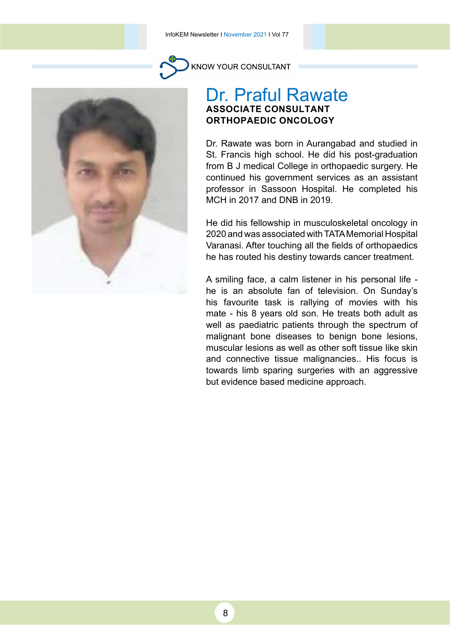

KNOW YOUR CONSULTANT

#### Dr. Praful Rawate **Associate Consultant Orthopaedic Oncology**

Dr. Rawate was born in Aurangabad and studied in St. Francis high school. He did his post-graduation from B J medical College in orthopaedic surgery. He continued his government services as an assistant professor in Sassoon Hospital. He completed his MCH in 2017 and DNB in 2019.

He did his fellowship in musculoskeletal oncology in 2020 and was associated with TATA Memorial Hospital Varanasi. After touching all the fields of orthopaedics he has routed his destiny towards cancer treatment.

A smiling face, a calm listener in his personal life he is an absolute fan of television. On Sunday's his favourite task is rallying of movies with his mate - his 8 years old son. He treats both adult as well as paediatric patients through the spectrum of malignant bone diseases to benign bone lesions, muscular lesions as well as other soft tissue like skin and connective tissue malignancies.. His focus is towards limb sparing surgeries with an aggressive but evidence based medicine approach.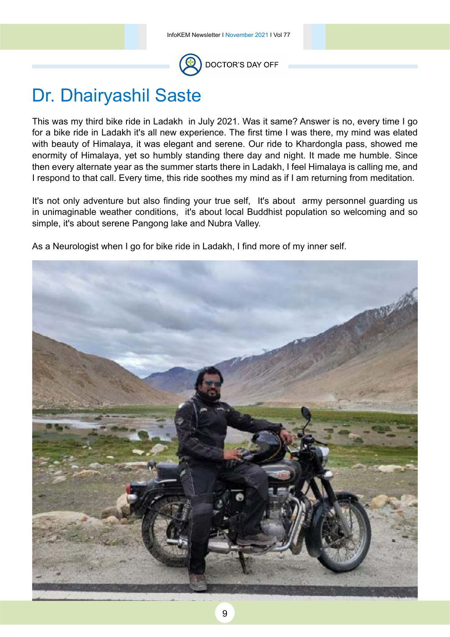

## Dr. Dhairyashil Saste

This was my third bike ride in Ladakh in July 2021. Was it same? Answer is no, every time I go for a bike ride in Ladakh it's all new experience. The first time I was there, my mind was elated with beauty of Himalaya, it was elegant and serene. Our ride to Khardongla pass, showed me enormity of Himalaya, yet so humbly standing there day and night. It made me humble. Since then every alternate year as the summer starts there in Ladakh, I feel Himalaya is calling me, and I respond to that call. Every time, this ride soothes my mind as if I am returning from meditation.

It's not only adventure but also finding your true self, It's about army personnel guarding us in unimaginable weather conditions, it's about local Buddhist population so welcoming and so simple, it's about serene Pangong lake and Nubra Valley.

As a Neurologist when I go for bike ride in Ladakh, I find more of my inner self.

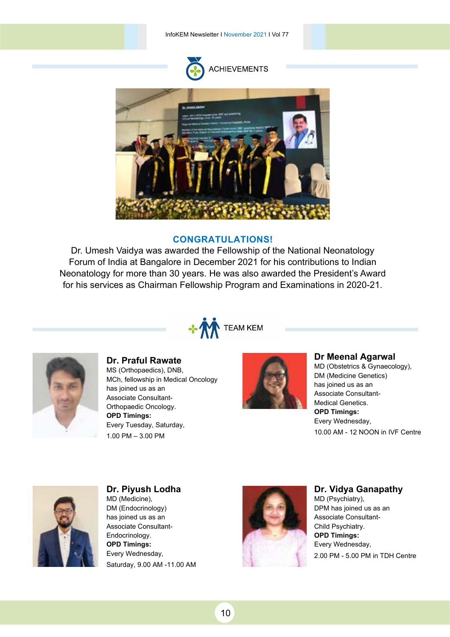InfoKEM Newsletter I November 2021 I Vol 77



#### **Congratulations!**

Dr. Umesh Vaidya was awarded the Fellowship of the National Neonatology Forum of India at Bangalore in December 2021 for his contributions to Indian Neonatology for more than 30 years. He was also awarded the President's Award for his services as Chairman Fellowship Program and Examinations in 2020-21.





**Dr. Praful Rawate**  MS (Orthopaedics), DNB, MCh, fellowship in Medical Oncology has joined us as an Associate Consultant-Orthopaedic Oncology. **OPD Timings:**  Every Tuesday, Saturday, 1.00 PM – 3.00 PM



#### **Dr Meenal Agarwal**

MD (Obstetrics & Gynaecology), DM (Medicine Genetics) has joined us as an Associate Consultant-Medical Genetics. **OPD Timings:**  Every Wednesday, 10.00 AM - 12 NOON in IVF Centre



**Dr. Piyush Lodha** MD (Medicine), DM (Endocrinology) has joined us as an Associate Consultant-Endocrinology. **OPD Timings:**  Every Wednesday, Saturday, 9.00 AM -11.00 AM



#### **Dr. Vidya Ganapathy**

MD (Psychiatry), DPM has joined us as an Associate Consultant-Child Psychiatry. **OPD Timings:**  Every Wednesday, 2.00 PM - 5.00 PM in TDH Centre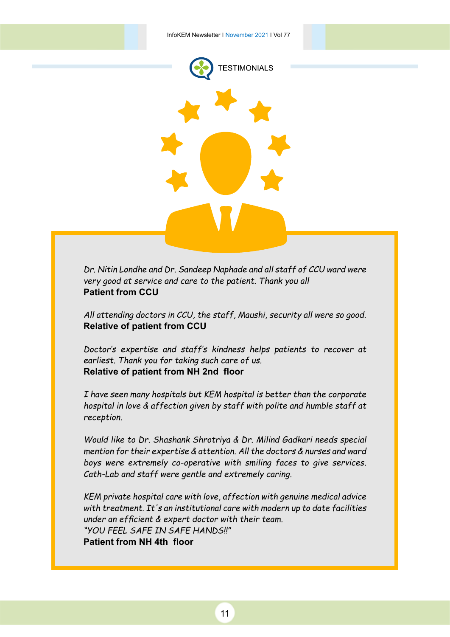

*Dr. Nitin Londhe and Dr. Sandeep Naphade and all staff of CCU ward were very good at service and care to the patient. Thank you all*  **Patient from CCU**

*All attending doctors in CCU, the staff, Maushi, security all were so good.* **Relative of patient from CCU**

*Doctor's expertise and staff's kindness helps patients to recover at earliest. Thank you for taking such care of us.* **Relative of patient from NH 2nd floor**

*I have seen many hospitals but KEM hospital is better than the corporate hospital in love & affection given by staff with polite and humble staff at reception.* 

*Would like to Dr. Shashank Shrotriya & Dr. Milind Gadkari needs special mention for their expertise & attention. All the doctors & nurses and ward boys were extremely co-operative with smiling faces to give services. Cath-Lab and staff were gentle and extremely caring.*

*KEM private hospital care with love, affection with genuine medical advice with treatment. It's an institutional care with modern up to date facilities under an efficient & expert doctor with their team. "YOU FEEL SAFE IN SAFE HANDS!!"* **Patient from NH 4th floor**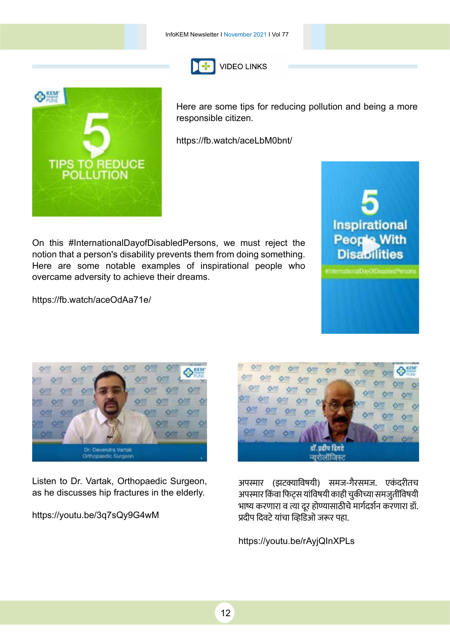



Here are some tips for reducing pollution and being a more responsible citizen.

<https://fb.watch/aceLbM0bnt>/

[On this #InternationalDayofDisabledPersons, we must reject the](http://https://fb.watch/aceOdAa71e/)  notion that a person's disability prevents them from doing something. Here are some notable examples of inspirational people who overcame adversity to achieve their dreams.



[https://fb.watch/aceOdAa71e/](https://fb.watch/aceOdAa71e)



[Listen to Dr. Vartak, Orthopaedic Surgeon,](http://https://youtu.be/3q7sQy9G4wM)  as he discusses hip fractures in the elderly.

<https://youtu.be/3q7sQy9G4wM>



अपस्मार (झटक्याविषयी) समज-गैरसमज. एकंदरीतच अपस्मार किंवा फिट्स यांविषयी काही चुकीच्या समजुतींविषयी भाष्य करणारा व त्या दुर होण्यासाठीचे मार्गदर्शन करणारा डॉ. प्रदीप दिवटे यांचा व्हिडिओ जरूर पहा.

<https://youtu.be/rAyjQInXPLs>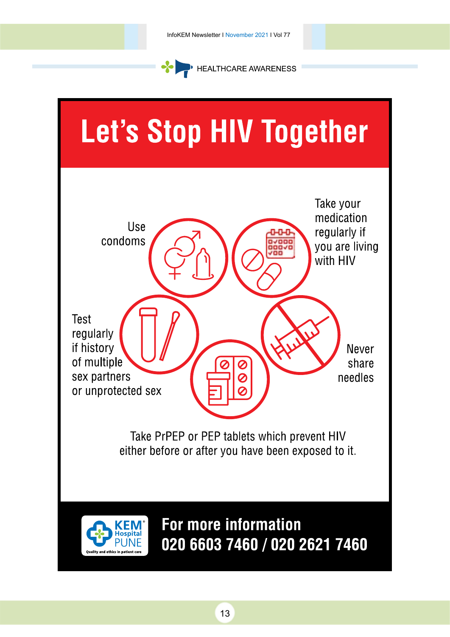

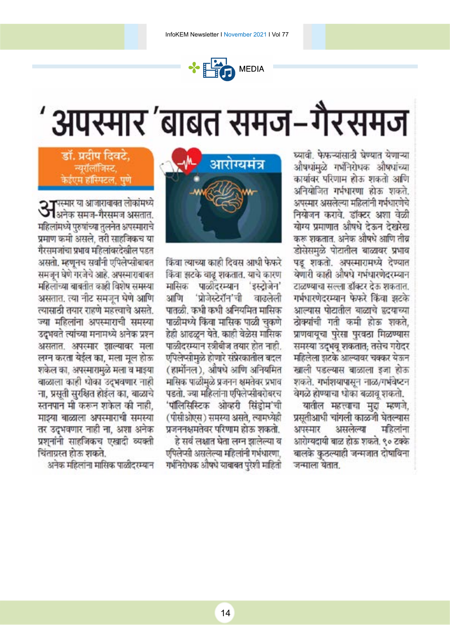

# अपस्मार 'बाबत समज-गैरसमज

घ्यावी. फेफऱ्यांसाठी घेण्यात येणाऱ्या औषधांमळे गर्भनिरोधक औषधांच्या कार्यावर परिणाम होऊ शकतो अणि अनियोजित गर्भधारणा होऊ शकते. अपस्मार असलेल्या महिलांनी गर्भधारणेचे नियोजन करावे. डॉक्टर अशा वेळी योग्य प्रमाणात औषधे देऊन देखरेख करू शकतात. अनेक औषधे आणि तीव्र डोसेसमुळे पोटातील बाळावर प्रभाव पड़ शकतो. अपस्मारामध्ये देण्यात येणारी काही औषधे गर्भधारणेदरम्यान टाळण्याचा सल्ला डॉक्टर देऊ शकतात. गर्भधारणेदरम्यान फेफरे किंवा झटके आल्यास पोटातील बाळाचे हृदयाच्या ठोक्यांची गती कमी होऊ शकते. प्राणवायुचा पुरेसा पुरवठा मिळण्यास समस्या उद्भव् शकतात; तसेच गरोदर महिलेला झटके आल्यावर चक्कर येऊन खाली पडल्यास बाळाला इजा होऊ शकते. गर्भाशयापासून नाळ/गर्भवेष्टन वेगळे होण्याचा धोका बळाव शकतो.

यातील महत्त्वाचा मुद्दा म्हणजे, प्रसतीआधी चांगली काळजी घेतल्यास महिलांना अपस्मार असलेल्या आरोग्यदायी बाळ होऊ शकते. ९० टक्के बालके कठल्याही जन्मजात दोषाविना जन्माला येतात.



किंवा त्याच्या काही दिवस आधी फेफरे किंवा झटके वाढ़ शकतात. याचे कारण मासिक पाळीदरम्यान 'इस्टोजेन' आणि 'प्रोजेस्टेरॉन'ची वाढलेली पातळी. कधी कधी अनियमित मासिक पाळीमध्ये किंवा मासिक पाळी चुकणे हेही आढळून येते. काही वेळेस मासिक पाळीदरम्यान स्त्रीबीज तयार होत नाही. एपिलेप्सीमुळे होणारे संप्रेरकातील बदल (हार्मोनल), औषधे आणि अनियमित मासिक पाळीमळे प्रजनन क्षमतेवर प्रभाव पडतो. ज्या महिलांना एपिलेप्सीबरोबरच 'पॉलिसिस्टिक ओव्हरी सिंडोम'ची (पीसीओएस) समस्या असते, त्यामध्येही प्रजननक्षमतेवर परिणाम होऊ शकतो.

हे सर्व लक्षात घेता लग्न झालेल्या व एपिलेप्सी असलेल्या महिलांनी गर्भधारणा. गर्भनिरोधक औषधे यावाबत पुरेशी माहिती

#### डॉ. प्रदीप दिवटे. न्यूरॉलॉजिस्ट, केईएम हॉस्पिटल, पणे

**37**पस्मार या आजाराबाबत लोकांमध्ये<br>**37**अनेक समज-गैरसमज असतात. महिलांमध्ये पुरुषांच्या तुलनेत अपस्माराचे प्रमाण कमी असले. तरी साहजिकच या गैरसमजांचा प्रभाव महिलांवरदेखील पडत असतो. म्हणनच सर्वांनी एपिलेप्सोबाबत समजून घेणे गरजेचे आहे. अपस्माराबाबत महिलांच्या बाबतीत काही विशेष समस्या असतात. त्या नीट समजून घेणे आणि त्यासाठी तयार राहणे महत्त्वाचे असते. ज्या महिलांना अपस्माराची समस्या उद्भवते त्यांच्या मनामध्ये अनेक प्रश्न असतात. अपस्मार झाल्यावर मला लग्न करता येईल का, मला मूल होऊ शकेल का. अपस्मारामळे मला व माइया बाळाला काही धोका उद्भवणार नाही ना, प्रस्तो सुरक्षित होईल का, बाळाचे स्तनपान मी करून शकेल की नाही. माझ्या बाळाला अपस्माराची समस्या तर उदभवणार नाही ना, अशा अनेक प्रश्नांनी साहजिकच एखादी व्यक्ती चिंताग्रस्त होऊ शकते.

अनेक महिलांना मासिक पाळीदरम्यान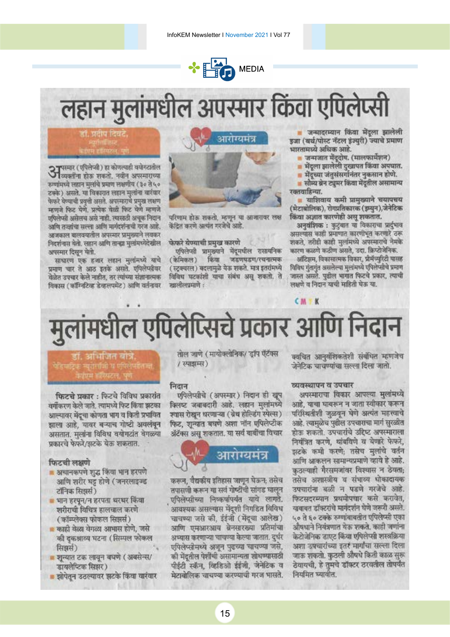

## लहान मुलांमधील अपस्मार किंवा एपिलेप्सी



**3 प**रम्बर (एपिलेप्सी) हा कोणत्याही वयोगटातील<br>**3 टिवक्तींना होऊ शकतो. नवीन अपरमारा**ण्या रुग्णांमध्ये लडान मुलांचे प्रमाण लक्षणीय (३० ते ५० टक्के) असते. या विकारात लहान मुलांना वारंवार फेफरे येण्याची प्रवृती असते. अपस्माराचे प्रमुख लक्षण म्हणजे फिट येणे. प्रत्येक वेळी फिट येणे म्हणजे एपिलेप्सी असेलच असे नाही. त्यासाठी अचूक निदान आणि तन्त्रांचा सल्ला आणि मार्गदर्शनाची गरज आहे. अत्रकाल बालवयातील अपस्मार प्रामुख्याने लयकर निदर्शनास येतो. लडान आणि तान्ह्या मुलांमध्येदेखील अपस्मार दिसून येतो.

साधारण एक हजार लहान मुलांमध्ये याचे प्रमाण चार ते आठ इतके असते. एपिलेप्सीवर वेळेत उपचार केले नाहीत, तर त्यांच्या संज्ञानात्मक विकास (कॉॅंग्निटिक डेव्हलपमेंट) आणि वर्तनावर



परिणाम होऊ शकतो, म्हणून या आजारावर लक्ष केंद्रित करणे अत्यंत गरजेचे आहे.

फेफरे येण्याची प्रमुख कारणे

एपिलेप्सी प्रामुख्याने मेंट्सधील रासायनिक (केमिकल) किंवा जडणघडण/रचनात्मक (स्ट्रक्चरल) बदलामुळे येऊ शकते. मात्र इतरांमध्ये विविध घटकांशी याचा संबंध असू शकतो. ते न्द्रालीलप्रमाणे :

जन्मादरम्यान किंवा मेंदला झालेली डजा (बर्थ/पोस्ट नॅटल इंज्युरी) ज्याचे प्रमाण भारतामध्ये अधिक आहे.

- <mark>- जन्मजात मेंट्रदोष. (मालफार्मेशन)</mark>
- मेंदूला झालेली दुखापत किंवा अपघात.
- मेंदूच्या जंतुसंसर्गानंतर नुकसान होणे.

■ सौम्य ब्रेन ट्यूमर किंवा मेंदूतील असामान्य रक्तवाहिन्या.

■ याशिवाय कमी प्रामुख्याने चयापचय (मेटाबोलिक), रोगप्रतिकारक (इम्यन),जेनेटिक किंवा अज्ञात कारणेही असू शकतात.

अनुवंशिक : कुटुंबात वा विकाराचा प्रार्द्भाव असल्यास काही प्रमाणात कारणीभूत करणारे ठरू शकते, तरीही काही मुलमिध्ये अपस्माराचे नेमके कारण कळणे कठीण असते, उदा. क्रिप्टोजेनिक.

ऑटिझम, विकासात्मक विकार, प्रोमॅच्युरिटी यासह विविध गुंतागुंत असलेल्या मुलांमध्ये एपिलेप्सीचे प्रमाण जास्त असते. पुढील भागात फिटचे प्रकार, त्याची लक्षणे व निदान याची माहिती घेऊ या.

## मुलांमधील एपिलेप्सिचे प्रकार आणि निदान

## <u>डॉ. अभिजित बोत्रे</u>

फिटचे प्रकार : फिटचे विविध प्रकारांत यर्गीकरण केले जाते. त्यामध्ये फिट किंवा झटका आल्यावर मेंदूचा कोणता भाग व किती प्रभावित झाला आहे, यावर बऱ्याच गोष्टी अवलंबन असतात. मुलांना विविध वयोगटांत वेगळ्या प्रकारचे फेफरे/झटके येऊ शकतात.

#### फिटची लक्षणे

- अचानकपणे शुद्ध किंवा भान हरपणे आणि शरीर घड़ होणे (जनरलाइज्ड टॉनिक सिझर्स)
- भान हरपुन/न हरपता थरथर किंवा शरीराची विचित्र हालचाल करणे (कॉम्प्लेक्स फोकल सिझर्स)
- काही वेळा येगळा आभास होणे. जसे की दकश्राव्य घटना (सिम्पल फोकल सिझर्स)
- शुन्यात टक लावून बघणे (अबसेन्स/ डायलेप्टिक सिझर)
- झोपेतन उठल्यावर झटके किया यारंवार

तोल जाणे (मायोक्लोनिक/ डॉप ऍटॅक्स / स्पाझम्स)

#### निदान

एपिलेप्सीचे (अपस्मार) निदान ही खुप क्लिप्ट जबाबदारी आहे. लहान मुलांमध्ये श्वास रोखन धरणाऱ्या (ब्रेथ होल्डिंग स्पेल्स) फिट, शुन्यात बघणे अशा नॉन एपिलेप्टीक ॲटॅक्स असु शकतात. या सर्व बाबींचा विचार



करून, वैद्यकीय इतिहास जाणून घेऊन; तसेच तपासणी करून या सर्व गोष्टीची सांगड घालुन एपिलेप्सीच्या निष्कर्षांपर्यंत याचे लागते. आवश्यक असल्यास मेंदशी निगडित विविध चाचण्या जसे की, ईईजी (मेंदूचा आलेख) आणि एमआरआय बेनसारख्या प्रतिमांचा अभ्यास करणाऱ्या चाचण्या केल्या जातात. दुर्घर एपिलेप्सीमध्ये अजून पुढच्या चाचण्या जसे, की मेंदृतील पेशींची असामान्यता शोधण्यासाठी पीईटी स्कॅन, व्हिडिओ ईईजी, जेनेटिक व मेटाबोलिक चाचण्या करण्याची गरज भासते.

क्वचित आनवंशिकतेशी संबंधित म्हणजेच जेनेटिक चाचण्यांचा सल्ला दिला जातो.

#### व्यवस्थापन व उपचार

 $CM$  K

अपस्माराचा विकार आपल्या मुलांमध्ये आहे. याचा घायरून न जाता स्वीकार करून परिस्थितीशी जळवून घेणे अत्यंत महत्त्वाचे आहे. त्यामुळेच पुढील उपचाराचा मार्ग सुरळीत होऊ शकतो. उपचारांचे उद्दिष्ट अपस्माराला नियंत्रित करणे, थांबविणे व येणारे फेफरे, झटके कमी करणे: तसेच मुलांचे वर्तन आणि आकलन सामान्यप्रमाणे व्हावे हे आहे. कठल्याही गैरसमजांवर विश्वास न ठेयता: तसेच अशास्त्रीय व संभाव्य धोकादायक उपचारांना बळी न पडणे गरजेचे आहे. फिटसदरम्यान प्रथमोपचार कसे करावेत, यावाबत डॉक्टरांचे मार्गदर्शन घेणे जरूरी असते. ५० ते ६० टक्के रुग्णांबाबतीत एपिलेप्सी एका औषधाने नियंत्रणात येऊ शकते. काही जणांना केटोजेनिक डाएट किंवा एपिलेप्सी शस्त्रक्रिया अशा उपचारांच्या इतर मार्गांचा सल्ला दिला जाक शकतो. कुठली औषधे किती काळ सुरू ठेयायची, हे तुमचे डॉक्टर ठरवतील तोपर्यंत नियमित घ्यावीत.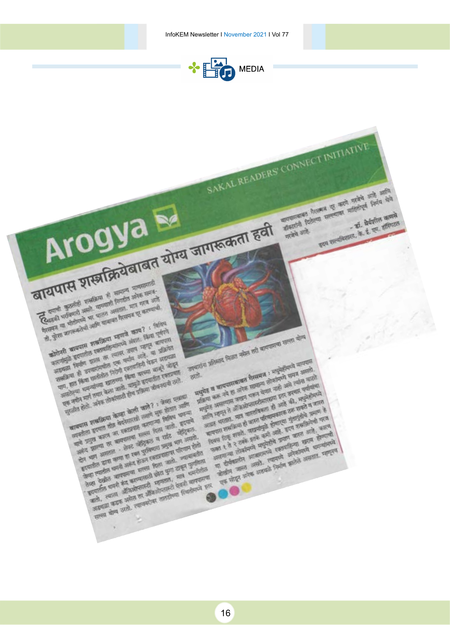

SAKAL READERS' CONNECT INITIATIVE

市道路

and the second control and the second control and the second control and the second control and the second control and the second control and the second control and the second control and the second control and the second

सिर्वेद्यालय कि अपनी की साथ की आई की जाता है।<br>इस सुनिश्चित की अपनी की साथ की साथ की आई की साथ की आई की साथ की साथ की साथ की साथ की साथ की साथ की साथ की साथ<br>की सुनिश्चित की सुनिश्चित की साथ की साथ की साथ की साथ की साथ की स

the region of the state of the state of the state of the state of the state of the state of the state of the state of the state of the state of the state of the state of the state of the state of the state of the state of

est and the second company of the second company of the second company of the second company of the second company of the second company of the second company of the second company of the second company of the second compa

सार हो है है है है जो सारी की कहा है जा सकते हैं किया है जा सकते हैं और सारी की सारी की सारी की सारी की सारी क<br>अब ही है है है है है है जो सुने की सारी की सारी की सारी की सारी की सारी की सारी की सारी की सारी की सारी की सा<br>

सा है है है है उसके साथ करने साथ जाता जाता हो से साथ के साथ से साथ करने से साथ है जाता है जाता है जाता है जाता<br>जाता है है है है उसके बाद सुनारी से सहस्तारित्या का साथ करने से सहस्तारित्य का साथ करने साथ करने साथ करने साथ<br>

**Property of the special control and the special control of the special control of the special control of the special control of the special control of the special control of the special control of the special control of t** 

surgeon Printers of the Bank of the Bank of ammmann huana si men mehèr anè ami

**The Supplement** 

gra avalamm. F. S. et aliment

**Arogya Membrand Early Early Report Early** TRIVILIDADE CARDINAL **Expert de la company de maria de la company de la company de la company de maria de la company de la company de la company de la company de la company de la company de la company de la company de la company de la company Experts of the contract of the contract of the contract of the contract of the contract of the contract of the contract of the contract of the contract of the contract of the contract of the contract of the contract of th** Experts description of the month of the most stressed and the month of the most of the month of the month of the month of the month of the month of the month of the month of the month of the month of the month of the month stand when the most of the state of the state of the state of the state of the state of the state of the state of the state of the state of the state of the state of the state of the state of the state of the state of the की को काम करने को आधि या जाता है काम ? ! किया<br>को लेने काम पास के लिया किया जाता है काम ? ! किया गया है<br>को लेने काम पास के लिया जाता है जो किया गया है कि वह समय है किया गया है कि वह समय है कि वह समय है कि वह समय ह<br>को लेकि **Expertise property district from state and successive district control and successive district control and successive district control and successive district control and control and control and control and control and co** संज्ञा जानिकामा सुख्यक्रिया काणजे काम संज्ञा पाणि<br>कोरोनी बाह्यपास संख्यातिका स्वाप्ता असता नगर ना सुख्याता<br>कोरोनीयुक्ते संयागातील समाजाहित्या सुख्यात नगर ना सुख्याता<br>कारणाच्या ही उपाधानिका एक संख्या समाजा कार्य काण्या के लिया का कहा है जा रही है जा रही है जा रही है जा रही है जा रही है जा रही है जा रही है जा रही है जा रही है जा<br>जा रही है जा रही है जा रही है जा रही है जा रही है जा रही है जा रही है जा रही है जा रही है जा रही है जा रही है<br> percific substitute these waves in the percent of any other percent of the second contract of the second contract of the second contract of the second contract of the second contract of the second contract of the second co स्ता कि स्थान की सामा की एक समीप की चैन अद्यक्षित है।<br>सामा की बाद की सामा की दिया है जिस की बाद है जो रही है।<br>सामा की बीच सामा की विद्या की सिता की बाद है जो रही है।<br>सामा की सामा की सामा की सामा की सामा की सामा की सामा क लाहोन क्रांतमध्ये अधिकारित से आहे थी.<br>सर्वे अपने स्वास्थ्य को सामना को समाप्त को संस्था करने समय आयोग<br>मधुमेर ब बाय पास का सामना को सामना को समय स्थान करते<br>प्राप्त करून सामना का सामना के आरे थी. समुद्रे होने से अधिकारित कर साहित्य स्थित करने को संगम की साहित्य करने का साहित्य करने के साहित्य करने के लिए स्थित करने के लिए स्थित करने<br>सर्वे अपने स्थान करने का साहित्य के लिए स्थान करने के लिए स्थान करने के लिए स्थान करने करने कर रही है।<br>सर्वे अ ले अपने साथ करने का कामता की आर्थिक सुनिश्चित करने साथ करने का साथ करने का साथ करने का साथ करने का साथ करने है<br>अपने का साथ करने का काम का साथ करने का साथ करने का साथ करने का साथ करने का साथ करने का साथ करने का साथ करने का plane and the month of the political and the control of the control of the control of the control of the control of the control of the control of the control of the control of the control of the control of the control of t  $30 -$ लिया का नहीं है जाएगा की सामना हो होने से साल करने सामान करने हैं जा कि साल करने हैं जा कि साल करने हैं जा कि साल कर रही है जा कि साल कर रही है जा कि साल कर रही है जा कि साल कर रही है जा कि साल कर रही है जा कि साल कर रही से का बालिया को साथ समय के लिए हैं और साथ सुरक्षित की साथ सुरक्षित की साथ सुरक्षित की सुरक्षित की सुरक्षित की सुरक्षित की सुरक्षित की सुरक्षित की सुरक्षित की सुरक्षित की सुरक्षित की सुरक्षित की सुरक्षित की सुरक्षित की सुर stream and any start and the start and the start and the start and the start and the start and the start and the start and the start and the start and the start and the start and the start and the start and the start and t parties of the first of the second control the second control the second control the second control the second control the second control the second control the second control the second control the second control the seco start and the start of the start of the start of the start of the start of the start of the start of the start of the start of the start of the start of the start of the start of the start of the start of the start of the लोहरा करना का सामान करना करना है जो रही है।<br>अपने साम का लगा कर रही है जो रही है जो रही है।<br>अपने साम का लगा का रही है जो रही है। जो रही की साम होते<br>के साम का लगा करना है जो रही है। जो रही है जो रही है।<br>किया तोर का साम करना the street and the street and the street and the street and the street and the street and the street and the street and the street and the street and the street and the street and the street and the street and the street a the street and the street of the street and the street of the street of the street of the street of the street of the street of the street of the street of the street of the street of the street of the street of the street **THE SHIP WAR OF THE SHIP WAY TO BE CARD THE SHIP WAR AND THE SHIP WAY TO BE CARD THE SHIP WAY TO BE CARD THE SHIP WAY TO BE CARD THE SHIP WAY TO BE CARD THE SHIP WAY TO BE CARD THE SHIP WAY TO BE CARD THE SHIP WAY TO BE C** सालील कान्याचा सत्त्वाची कोटा पुगा दास कान्यांतल<br>अब देखीड कान्यां केंद्र कारणासाठी कोटा पुगा दास कान्यांतला<br>अब देखीड कान्यां की कारणास्त्री सहायाता देखी कान्यांना<br>सहाया काक उसते. त्याचारोमा तातांतला स्थितांचित सहायांनाचे **All Solid and All American Report of the American Property and American Property and American Property and Property and Property and Property and Property and Property and Property and Property and Property and Property a** 

Arogya M

16